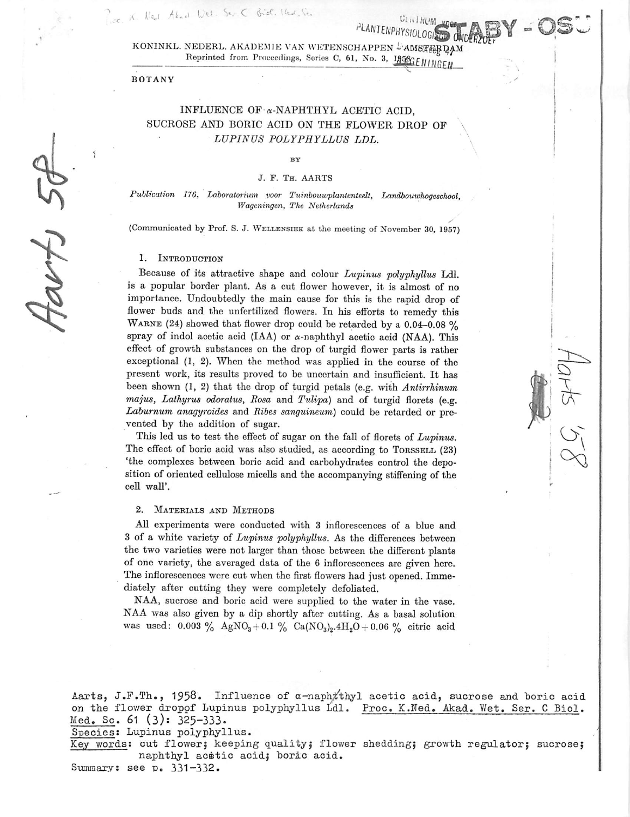KONINKL. NEDERL. AKADEMIE VAN WETENSCHAPPEN <sup>B</sup>AMSTERDAM Reprinted from Proceedings, Series C, 61, No. 3, LASSEE NINGEN

PLANTENPHYSIOLOG

#### BOTANY

Piec, K. Ned Akad Wet. Ser C Biel. Ikar, Se.

# INFLUENCE OF a-NAPHTHYL ACETIC ACID, SUCROSE AND BORIC ACID ON THE FLOWER DROP OF **LUPIN US POLYPHYLLUS LDL.**

#### $RV$

### **J.** F. Th. AARTS

**Publication 176, Laboratorium voor Tuinbouurplantenteelt, Ixindbouwhogeschool, Wageningen, The Netherlands**

**y** (Communicated by Prof. S. J. Wellensiek at the meeting of November 30, 1957)

#### 1. INTRODUCTION

Because of its attractive shape and colour **Lupinus polyphyllus** Ldl. is a popular border plant. As a cut flower however, it is almost of no importance. Undoubtedly the main cause for this is the rapid drop of flower buds and the unfertilized flowers. In his efforts to remedy this WARNE (24) showed that flower drop could be retarded by a  $0.04-0.08\%$ spray of indol acetic acid (IAA) or  $\alpha$ -naphthyl acetic acid (NAA). This effect of growth substances on the drop of turgid flower parts is rather exceptional (1, 2). When the method was applied in the course of the present work, its results proved to be uncertain and insufficient. It has been shown (1, 2) that the drop of turgid petals (e.g. with **Antirrhinum majus, Lathyrus odoratus, Rosa** and **Tulipa)** and of turgid florets (e.g. **Laburnum anagyroides** and **Ribes sanguineum)** could be retarded or pre vented by the addition of sugar.

This led us to test the effect of sugar on the fall of florets of **Lupinus.** The effect of boric acid was also studied, as according to TORSSELL (23) 'the complexes between boric acid and carbohydrates control the depo sition of oriented cellulose micells and the accompanying stiffening of the cell wall'.

## 2. Materials and Methods

All experiments were conducted with 3 inflorescences of a blue and 3 of a white variety of **Lupinus polyphyllus.** As the differences between the two varieties were not larger than those between the different plants of one variety, the averaged data of the 6 inflorescences are given here. The inflorescences were cut when the first flowers had just opened. Imme diately after cutting they were completely defoliated.

NAA, sucrose and boric acid were supplied to the water in the vase. NAA was also given by a dip shortly after cutting. As a basal solution was used: 0.003 % AgNO<sub>3</sub>+0.1 % Ca(NO<sub>3</sub>)<sub>2</sub>.4H<sub>2</sub>O + 0.06 % citric acid

Aarts, J.F.Th., 1958. Influence of  $\alpha$ -naph $\#$ thyl acetic acid, sucrose and boric acid on the flower droppf Lupinus polyphyllus Ldl. Proc. K.Ned. Akad. Wet. Ser. C Biol. Med. Sc. 61 (3): 325-333.

Species: Lupinus polyphyllus.

Key words: cut flower; keeping quality; flower shedding; growth regulator; sucrose; naphthyl acetic acid; boric acid.

Summary: see **v.** 331-332.

*i* from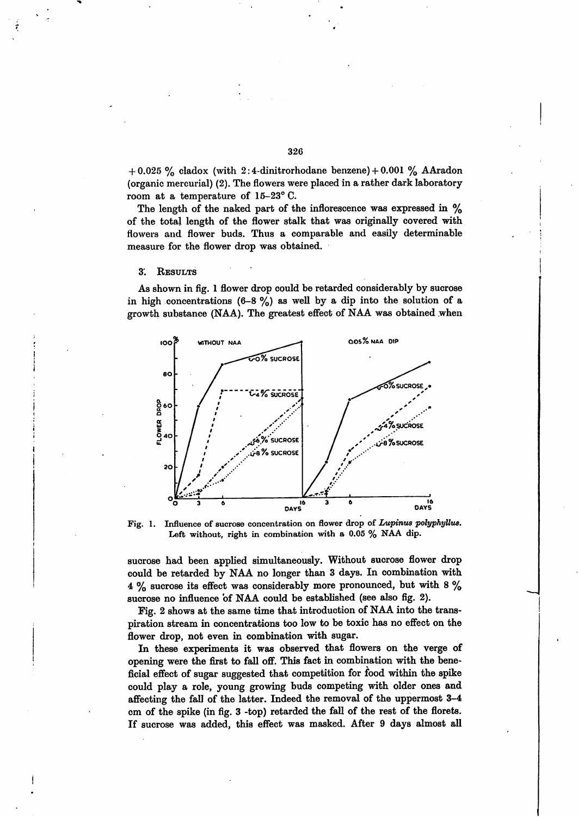+ 0.025 % cladox (with 2:4-dinitrorhodane benzene) + 0.001 % AAradon (organic mercurial) (2). The flowers were placed in a rather dark laboratory room at a temperature of 15-23° C.

The length of the naked part of the inflorescence was expressed in  $\%$ of the total length of the flower stalk that was originally covered with flowers and flower buds. Thus a comparable and easily determinable measure for the flower drop was obtained.

#### 3'. Results

 $\hat{\mathbf{r}}$ 

As shown in fig. 1 flower drop could be retarded considerably by sucrose in high concentrations  $(6-8\%)$  as well by a dip into the solution of a growth substance (NAA). The greatest effect of NAA was obtained when



*Fig. 1. Influence of sucrose concentration on flower drop of Lupinus polyphyllus. Left without, right in combination with a 0.05 % NAA dip.*

sucrose had been applied simultaneously. Without sucrose flower drop could be retarded by NAA no longer than 3 days. In combination with 4 % sucrose its effect was considerably more pronounced, but with 8 % sucrose no influence of NAA could be established (see also fig. 2).

Fig. 2 shows at the same time that introduction of NAAinto the trans piration stream in concentrations too low to be toxic has no effect on the flower drop, not even in combination with sugar.

In these experiments it was observed that flowers on the verge of opening were the first to fall off. This fact in combination with the bene ficial effect of sugar suggested that competition for food within the spike could play a role, young growing buds competing with older ones and affecting the fall of the latter. Indeed the removal of the uppermost 3-4 cm of the spike (in fig. 3 -top) retarded the fall of the rest of the florets. If sucrose was added, this effect was masked. After 9 days almost all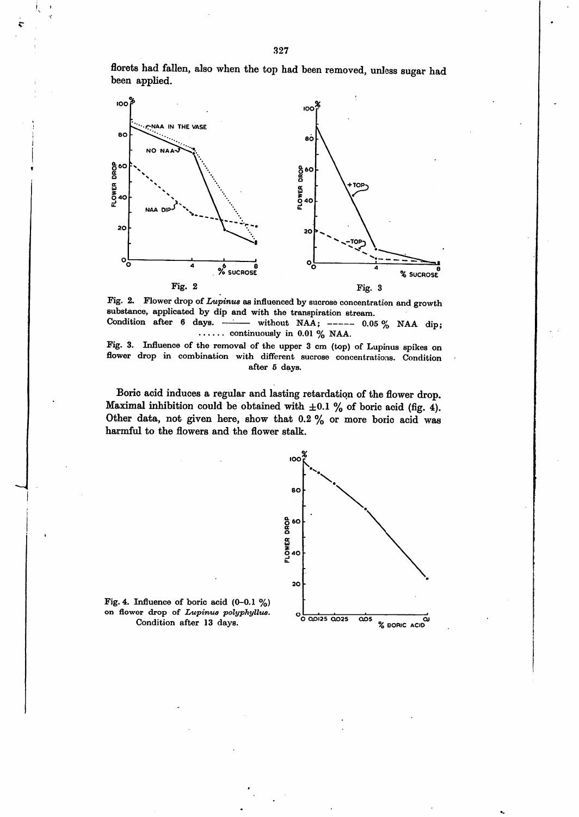florets had fallen, also when the top had been removed, unless sugar had been applied.



Fig. 2. Flower drop of *Lupinus* as influenced by sucrose concentration and growth substance, applicated by dip and with the transpiration stream. Condition after 6 days. — without NAA;  $---$  0.05% NAA dip;

continuously in 0.01 **%** NAA.

Fig. 3. Influence of the removal of the upper 3 cm (top) of Lupinus spikes on flower drop in combination with different sucrose concentrations. Condition after 5 days.

Boric acid induces a regular and lasting retardation of the flower drop. Maximal inhibition could be obtained with  $\pm 0.1$  % of boric acid (fig. 4). Other data, not given here, show that 0.2 % or more boric acid was harmful to the flowers and the flower stalk.



Fig. 4. Influence of boric acid (0-0.1 **%)** on flower drop of **Lupinus polyphyllus.** Condition after 13 days. *<sup>O</sup> QOI2S 0.025 Q05 OJ*

*I >*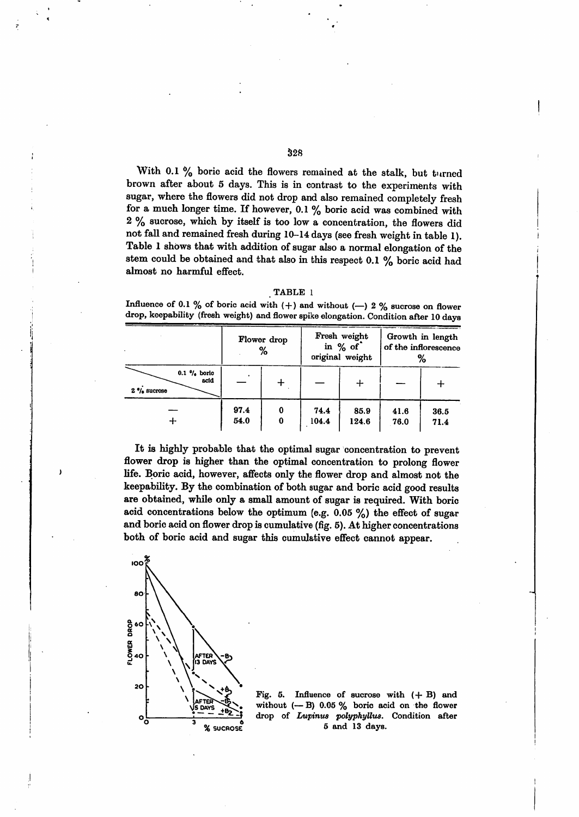With 0.1 % boric acid the flowers remained at the stalk, but turned brown after about 5 days. This is in contrast to the experiments with sugar, where the flowers did not drop and also remained completely fresh for a much longer time. If however, 0.1 % boric acid was combined with 2 % sucrose, which by itself is too low a concentration, the flowers did not fall and remained fresh during 10-14 days (see fresh weight in table 1). Table 1 shows that with addition of sugaralso a normal elongation of the stem could be obtained and that also in this respect 0.1 % boric acid had almost no harmful effect.

| . .<br>ABLI<br>ш |  |
|------------------|--|
|                  |  |

|                                                            | Flower drop<br>% |        | Fresh weight<br>in % of<br>original weight |               | Growth in length<br>of the inflorescence<br>% |              |
|------------------------------------------------------------|------------------|--------|--------------------------------------------|---------------|-----------------------------------------------|--------------|
| $0.1 \frac{9}{6}$ boric<br>acid<br>$2 \frac{6}{9}$ sucrose |                  | ┭      |                                            | ┿             |                                               |              |
|                                                            | 97.4<br>54.0     | 0<br>0 | 74.4<br>104.4                              | 85.9<br>124.6 | 41.6<br>76.0                                  | 36.5<br>71.4 |

Influence of 0.1 % of boric acid with  $(+)$  and without  $(-)$  2 % sucrose on flower *drop, keepability (fresh weight) andflower spike elongation. Condition after 10 days*

It is highly probable that the optimal sugar concentration to prevent flower drop is higher than the optimal concentration to prolong flower life. Boric acid, however, affects only the flower drop and almost not the keepability. By the combination of both sugar and boric acid good results are obtained, while only a small amount of sugar is required. With boric acid concentrations below the optimum (e.g.  $0.05\%$ ) the effect of sugar and boric acid on flower drop is cumulative (fig. 5). At higher concentrations both of boric acid and sugar this cumulative effect cannot appear.



*Fig. 5. Influence of sucrose with (+ B) and without (— B) 0.05 % boric acid on the flower drop of Lupinus polyphyllus. Condition after 5 and 13 days.*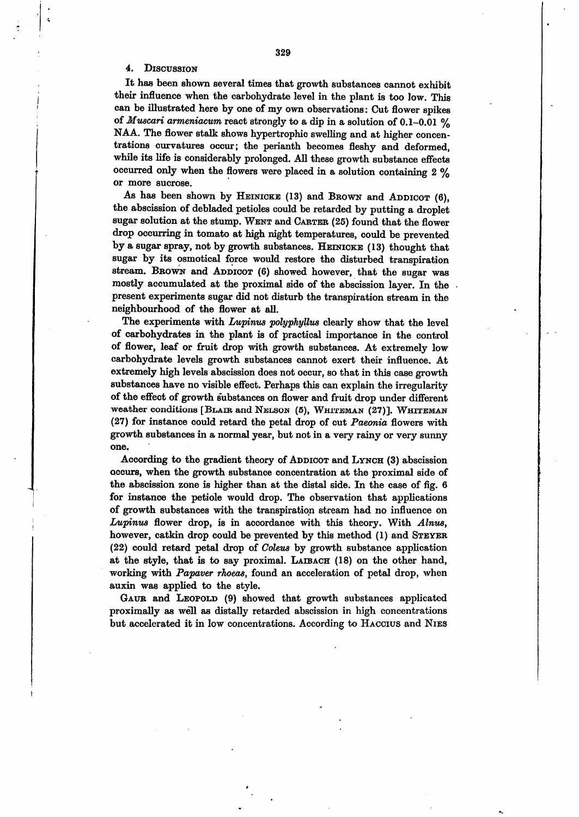### 4. Discussion

It has been shown several times that growth substances cannot exhibit their influence when the carbohydrate level in the plant is too low. This can be illustrated here by one of my own observations: Cut flower spikes of *Muscari* armeniacum react strongly to a dip in a solution of  $0.1-0.01$  % NAA. The flower stalk shows hypertrophic swelling and at higher concen trations curvatures occur; the perianth becomes fleshy and deformed, while its life is considerably prolonged. All these growth substance effects occurred only when the flowers were placed in a solution containing 2 % or more sucrose.

As has been shown by HEINICKE (13) and BROWN and ADDICOT (6), the abscission of debladed petioles could be retarded by putting a droplet sugar solution at the stump. WENT and CARTER (25) found that the flower drop occurring in tomato at high night temperatures, could be prevented by a sugar spray, not by growth substances. HEINICKE (13) thought that sugar by its osmotical force would restore the disturbed transpiration stream. BROWN and ADDICOT (6) showed however, that the sugar was mostly accumulated at the proximal side of the abscission layer. In the present experiments sugar did not disturb the transpiration stream in the neighbourhood of the flower at all.

The experiments with **Lupinus polyphyllus** clearly show that the level of carbohydrates in the plant is of practical importance in the control of flower, leaf or fruit drop with growth substances. At extremely low carbohydrate levels growth substances cannot exert their influence. At extremely high levels abscission does not occur, so that in this case growth substances have no visible effect. Perhaps this can explain the irregularity of the effect of growth substances on flower and fruit drop under different weather conditions [BLAIR and NELSON (5), WHITEMAN (27)]. WHITEMAN (27) for instance could retard the petal drop of cut **Paeonia** flowers with growth substances in a normal year, but not in a very rainy or very sunny one.

According to the gradient theory of ADDICOT and LYNCH (3) abscission occurs, when the growth substance concentration at the proximal side of the abscission zone is higher than at the distal side. In the case of fig. 6 for instance the petiole would drop. The observation that applications of growth substances with the transpiration stream had no influence on **Lupinus** flower drop, is in accordance with this theory. With **Alnus,** however, catkin drop could be prevented by this method (1) and STEYER (22) could retard petal drop of **Coleus** by growth substance application at the style, that is to say proximal. LAIBACH (18) on the other hand, working with **Papaver rhoeas,** found an acceleration of petal drop, when auxin was applied to the style.

GAUR and LEOPOLD (9) showed that growth substances applicated proximally as well as distally retarded abscission in high concentrations but accelerated it in low concentrations. According to Haccius and Nies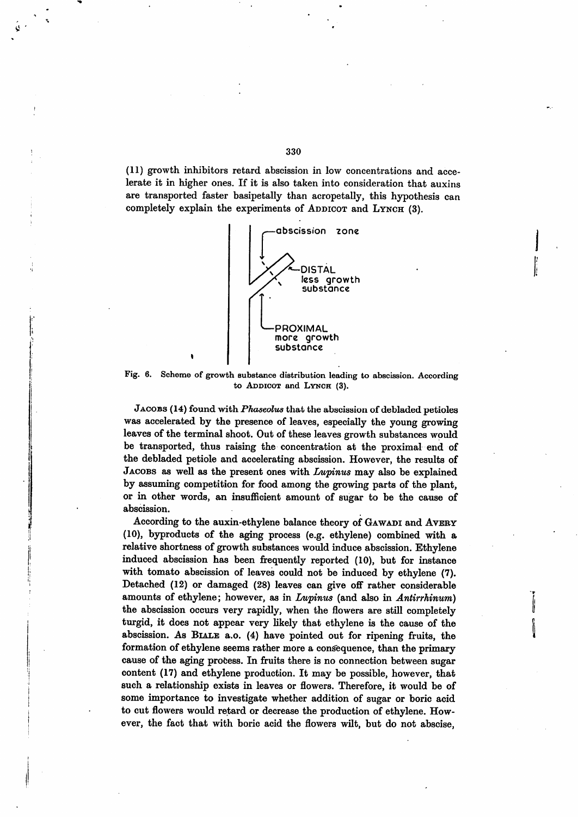(11) growth inhibitors retard abscission in low concentrations and acce lerate it in higher ones. If it is also taken into consideration that auxins are transported faster basipetally than acropetally, this hypothesis can completely explain the experiments of ADDICOT and LYNCH (3).



Fig. 6. Scheme of growth substance distribution leading to abscission. According to ADDICOT and LYNCH (3).

JACOBS (14) found with *Phaseolus* that the abscission of debladed petioles was accelerated by the presence of leaves, especially the young growing leaves of the terminal shoot. Out of these leaves growth substances would be transported, thus raising the concentration at the proximal end of the debladed petiole and accelerating abscission. However, the results of Jacobs as well as the present ones with **Lupinus** may also be explained by assuming competition for food among the growing parts of the plant, or in other words, an insufficient amount of sugar to be the cause of abscission.

According to the auxin-ethylene balance theory of GAWADI and AVERY (10), byproducts of the aging process (e.g. ethylene) combined with a relative shortness of growth substances would induce abscission. Ethylene induced abscission has been frequently reported (10), but for instance with tomato abscission of leaves could not be induced by ethylene (7). Detached  $(12)$  or damaged  $(28)$  leaves can give off rather considerable amounts of ethylene; however, as in **Lupinus** (and also in **Antirrhinum)** the abscission occurs very rapidly, when the flowers are still completely turgid, it does not appear very likely that ethylene is the cause of the abscission. As Biale a.o. (4) have pointed out for ripening fruits, the formation of ethylene seems rather more a consequence, than the primary cause of the aging process. In fruits there is no connection between sugar content (17) and ethylene production. It may be possible, however, that such a relationship exists in leaves or flowers. Therefore, it would be of some importance to investigate whether addition of sugar or boric acid to cut flowers would retard or decrease the production of ethylene. How ever, the fact that with boric acid the flowers wilt, but do not abscise,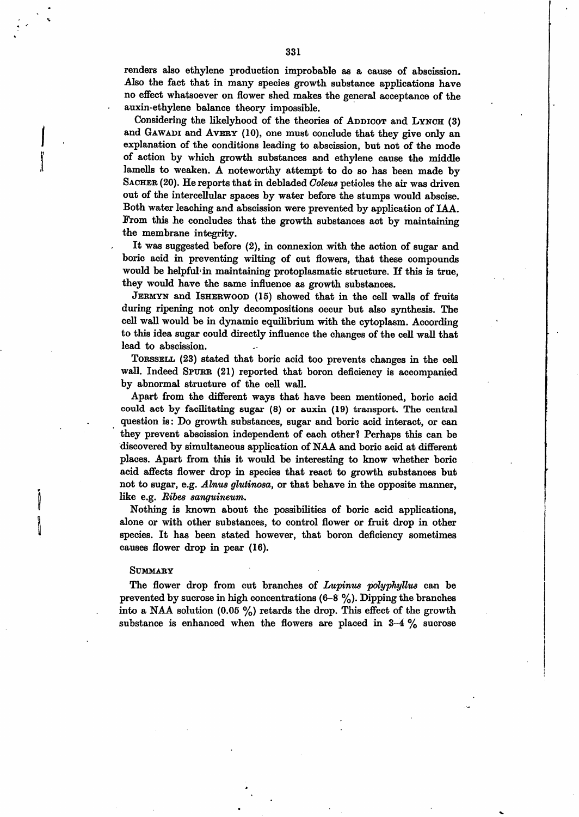renders also ethylene production improbable as a cause of abscission. Also the fact that in many species growth substance applications have no effect whatsoever on flower shed makes the general acceptance of the auxin-ethylene balance theory impossible.

Considering the likelyhood of the theories of ADDICOT and LYNCH (3) and GAWADI and AVERY (10), one must conclude that they give only an explanation of the conditions leading to abscission, but not of the mode of action by which growth substances and ethylene cause the middle lamells to weaken. A noteworthy attempt to do so has been made by SACHER (20). He reports that in debladed *Coleus* petioles the air was driven out of the intercellular spaces by water before the stumps would abscise. Both water leaching and abscission were prevented by application of IAA. From this he concludes that the growth substances act by maintaining the membrane integrity.

It was suggested before (2), in connexion with the action of sugar and boric acid in preventing wilting of cut flowers, that these compounds would be helpful in maintaining protoplasmatic structure. If this is true, they would have the same influence as growth substances.

Jermyn and Isherwood (15) showed that in the cell walls of fruits during ripening not only decompositions occur but also synthesis. The cell wall would be in dynamic equilibrium with the cytoplasm. According to this idea sugar could directly influence the changes of the cell wall that lead to abscission.

Torssell (23) stated that boric acid too prevents changes in the cell wall. Indeed SPURR (21) reported that boron deficiency is accompanied by abnormal structure of the cell wall.

Apart from the different ways that have been mentioned, boric acid could act by facilitating sugar (8) or auxin (19) transport. The central question is: Do growth substances, sugar and boric acid interact, or can they prevent abscission independent of each other? Perhaps this can be discovered by simultaneous application of NAA and boric acid at different places. Apart from this it would be interesting to know whether boric acid affects flower drop in species that react to growth substances but not to sugar, e.g. **Alnus glutinosa,** or that behave in the opposite manner, like e.g. **Eibes sanguineum.**

Nothing is known about the possibilities of boric acid applications, alone or with other substances, to control flower or fruit drop in other species. It has been stated however, that boron deficiency sometimes causes flower drop in pear (16).

#### Summary

The flower drop from cut branches of **Lupinus polyphyUus** can be prevented by sucrose in high concentrations  $(6-8 \%)$ . Dipping the branches into a NAA solution  $(0.05 \%)$  retards the drop. This effect of the growth substance is enhanced when the flowers are placed in  $3-4\%$  sucrose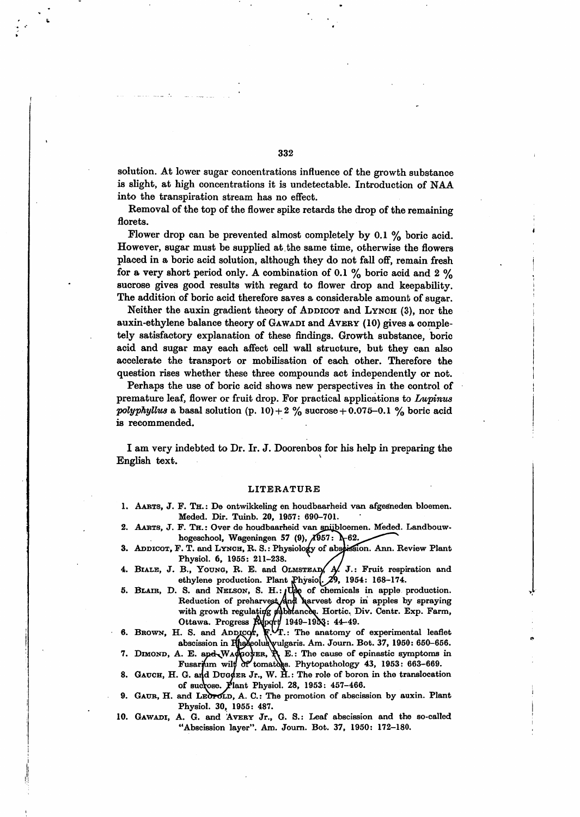solution. At lower sugar concentrations influence of the growth substance is slight, at high concentrations it is undetectable. Introduction of NAA into the transpiration stream has no effect.

Removal of the top of the flower spike retards the drop of the remaining florets.

Flower drop can be prevented almost completely by 0.1 % boric acid. However, sugar must be supplied at the same time, otherwise the flowers placed in a boric acid solution, although they do not fall off, remain fresh for a very short period only. A combination of 0.1  $\%$  boric acid and 2  $\%$ sucrose gives good results with regard to flower drop and keepability. The addition of boric acid therefore saves a considerable amount of sugar.

Neither the auxin gradient theory of ADDICOT and LYNCH (3), nor the auxin-ethylene balance theory of GAWADI and AVERY (10) gives a completely satisfactory explanation of these findings. Growth substance, boric acid and sugar may each affect cell wall structure, but they can also accelerate the transport or mobilisation of each other. Therefore the question rises whether these three compounds act independently or not.

Perhaps the use of boric acid shows new perspectives in the control of premature leaf, flower or fruit drop. For practical applications to **Lwpinus** *polyphyllus* a basal solution (p. 10) + 2  $\%$  sucrose + 0.075-0.1  $\%$  boric acid is recommended.

I am very indebted to Dr. Ir. J. Doorenbos for his help in preparing the English text.

### *LITERATURE*

- *1. Aarts, J. F. Th. : De ontwikkeling en houdbaarheid van afgesheden bloemen. Meded. Dir. Tuinb. 20, 1957: 690-701.*
- *2. Aarts, J. F. Th. : Over de houdbaarheid van snybloemen. Meded. Landbouwhogeschool,* Wageningen 57 (9),  $\angle$ 1957:  $\frac{1}{2}$ -62.
- *3. Addicot, F. T. and Lynch, R. S.: Physiology of absi&slon. Ann. Review Plant Physiol. 6, 1955: 211-238. " /J* **4. BIALE,** J. B., YOUNG, R. E. and OLMSTEAD, A. J.: Fruit respiration and
- *ethylene production. Plant jPhysioL^2v, 1954: 168-174.*
- *5. Blair, D. S. and Nelson, S. H. :iuse of chemicals in apple production. Reduction of preharve^tAnfl iwirvest drop in apples by spraying with growth regulating substances. Hortic. Div. Centr. Exp. Farm, Ottawa. Progress fifaxfl) 1949-19JKJ: 44-49.*
- *6. Brown, H. S. and Addicot, F.^T.: The anatomy of experimental leaflet abscission in lUiaeeolusVuIgaris. Am. Journ. Bot. 37, 1950: 650-656.*
- *7. Dimond, A. E. aneKJVAfflaOBfER, jPL E.: The cause of epinastic symptoms in* Fusarium wilt dr tomatoes. Phytopathology 43, 1953: 663-669.
- *8. Gauch, H. G. and Dugcer Jr., W. H.: The role of boron in the translocation of suc\pse. I?lant Physiol. 28, 1953: 457-466.*
- *9. Gaur, H. and LsbrtfLD, A. C.: The promotion of abscission by auxin. Plant Physiol. 30, 1955: 487.*
- *10. Gawadi, A. G. and Avery Jr., G. S.: Leaf abscission and the so-called "Abscission layer". Am. Journ. Bot. 37, 1950: 172-180.*